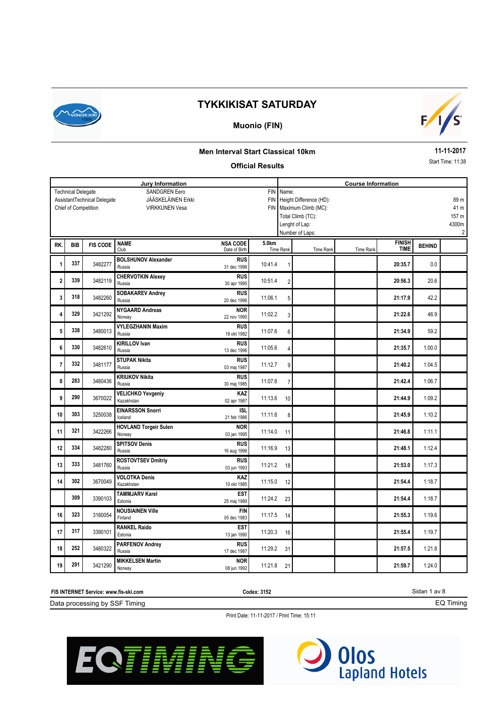

### **Muonio (FIN)**



#### **Men Interval Start Classical 10km**

#### **Official Results**

**11-11-2017**

Start Time: 11:38

|                |                           |                             | Jury Information                       |                    |            | <b>Course Information</b> |                             |           |               |               |       |
|----------------|---------------------------|-----------------------------|----------------------------------------|--------------------|------------|---------------------------|-----------------------------|-----------|---------------|---------------|-------|
|                | <b>Technical Delegate</b> |                             | <b>SANDGREN Eero</b>                   |                    | <b>FIN</b> | Name:                     |                             |           |               |               |       |
|                |                           | AssistantTechnical Delegate | JÄÄSKELÄINEN Erkki                     |                    |            |                           | FIN Height Difference (HD): |           |               |               | 89 m  |
|                | Chief of Competition      |                             | <b>VIRKKUNEN Vesa</b>                  |                    |            |                           | FIN   Maximum Climb (MC):   |           |               |               | 41 m  |
|                |                           |                             |                                        |                    |            |                           | Total Climb (TC):           |           |               |               | 157 m |
|                |                           |                             |                                        |                    |            |                           | Lenght of Lap:              |           |               |               | 4300m |
|                |                           |                             |                                        |                    |            |                           | Number of Laps:             |           |               |               | 2     |
| RK.            | <b>BIB</b>                | <b>FIS CODE</b>             | <b>NAME</b>                            | <b>NSA CODE</b>    | 5.0km      |                           |                             |           | <b>FINISH</b> | <b>BEHIND</b> |       |
|                |                           |                             | Club                                   | Date of Birth      |            | <b>Time Rank</b>          | Time Rank                   | Time Rank | <b>TIME</b>   |               |       |
|                | 337                       | 3482277                     | <b>BOLSHUNOV Alexander</b>             | <b>RUS</b>         | 10:41.4    |                           |                             |           |               | 0.0           |       |
| 1              |                           |                             | Russia                                 | 31 dec 1996        |            |                           |                             |           | 20:35.7       |               |       |
| 2              | 339                       | 3482119                     | <b>CHERVOTKIN Alexey</b>               | <b>RUS</b>         | 10:51.4    |                           |                             |           | 20:56.3       | 20.6          |       |
|                |                           |                             | Russia                                 | 30 apr 1995        |            | $\overline{2}$            |                             |           |               |               |       |
| 3              | 318                       | 3482260                     | <b>SOBAKAREV Andrey</b>                | <b>RUS</b>         | 11:06.1    | 5                         |                             |           | 21:17.9       | 42.2          |       |
|                |                           |                             | Russia                                 | 20 dec 1996        |            |                           |                             |           |               |               |       |
| 4              | 329                       | 3421292                     | <b>NYGAARD Andreas</b>                 | <b>NOR</b>         | 11:02.2    | 3                         |                             |           | 21:22.6       | 46.9          |       |
|                |                           |                             | Norway                                 | 22 nov 1990        |            |                           |                             |           |               |               |       |
| 5              | 338                       | 3480013                     | <b>VYLEGZHANIN Maxim</b>               | <b>RUS</b>         | 11:07.6    | 6                         |                             |           | 21:34.9       | 59.2          |       |
|                |                           |                             | Russia                                 | 18 okt 1982        |            |                           |                             |           |               |               |       |
| 6              | 330                       | 3482610                     | <b>KIRILLOV Ivan</b>                   | <b>RUS</b>         | 11:05.6    | 4                         |                             |           | 21:35.7       | 1:00.0        |       |
|                |                           |                             | Russia                                 | 13 dec 1996        |            |                           |                             |           |               |               |       |
| $\overline{7}$ | 332                       | 3481177                     | <b>STUPAK Nikita</b>                   | <b>RUS</b>         | 11:12.7    | 9                         |                             |           | 21:40.2       | 1:04.5        |       |
|                |                           |                             | Russia                                 | 03 maj 1987        |            |                           |                             |           |               |               |       |
| 8              | 283                       | 3480436                     | <b>KRIUKOV Nikita</b><br>Russia        | <b>RUS</b>         | 11:07.6    | $\overline{7}$            |                             |           | 21:42.4       | 1:06.7        |       |
|                |                           |                             |                                        | 30 maj 1985        |            |                           |                             |           |               |               |       |
| 9              | 290                       | 3670022                     | <b>VELICHKO Yevgeniy</b><br>Kazakhstan | KAZ<br>02 apr 1987 | 11:13.6    | 10                        |                             |           | 21:44.9       | 1:09.2        |       |
|                |                           |                             | <b>EINARSSON Snorri</b>                | <b>ISL</b>         |            |                           |                             |           |               |               |       |
| 10             | 303                       | 3250038                     | Iceland                                | 21 feb 1986        | 11:11.6    | 8                         |                             |           | 21:45.9       | 1:10.2        |       |
|                |                           |                             | <b>HOVLAND Torgeir Sulen</b>           | <b>NOR</b>         |            |                           |                             |           |               |               |       |
| 11             | 321                       | 3422266                     | Norway                                 | 03 jan 1995        | 11:14.0    | 11                        |                             |           | 21:46.8       | 1:11.1        |       |
|                |                           |                             | <b>SPITSOV Denis</b>                   | <b>RUS</b>         |            |                           |                             |           |               |               |       |
| 12             | 334                       | 3482280                     | Russia                                 | 16 aug 1996        | 11:16.9    | 13                        |                             |           | 21:48.1       | 1:12.4        |       |
|                |                           |                             | <b>ROSTOVTSEV Dmitriy</b>              | <b>RUS</b>         |            |                           |                             |           |               |               |       |
| 13             | 333                       | 3481760                     | Russia                                 | 03 jun 1993        | 11:21.2    | 18                        |                             |           | 21:53.0       | 1:17.3        |       |
| 14             | 302                       | 3670049                     | <b>VOLOTKA Denis</b>                   | <b>KAZ</b>         |            |                           |                             |           |               |               |       |
|                |                           |                             | Kazakhstan                             | 10 okt 1985        | 11:15.0    | 12                        |                             |           | 21:54.4       | 1:18.7        |       |
|                | 309                       | 3390103                     | <b>TAMMJARV Karel</b>                  | <b>EST</b>         | 11:24.2    |                           |                             |           |               | 1:18.7        |       |
|                |                           |                             | Estonia                                | 25 maj 1989        |            | 23                        |                             |           | 21:54.4       |               |       |
| 16             | 323                       | 3180054                     | <b>NOUSIAINEN Ville</b>                | <b>FIN</b>         | 11:17.5    | 14                        |                             |           | 21:55.3       | 1:19.6        |       |
|                |                           |                             | Finland                                | 05 dec 1983        |            |                           |                             |           |               |               |       |
| 17             | 317                       | 3390101                     | <b>RANKEL Raido</b>                    | <b>EST</b>         | 11:20.3    | 16                        |                             |           | 21:55.4       | 1:19.7        |       |
|                |                           |                             | Estonia                                | 13 jan 1990        |            |                           |                             |           |               |               |       |
| 18             | 252                       | 3480322                     | <b>PARFENOV Andrey</b>                 | <b>RUS</b>         | 11:29.2    | 31                        |                             |           | 21:57.5       | 1:21.8        |       |
|                |                           |                             | Russia                                 | 17 dec 1987        |            |                           |                             |           |               |               |       |
| 19             | 291                       | 3421290                     | <b>MIKKELSEN Martin</b>                | <b>NOR</b>         | 11:21.8    | 21                        |                             |           | 21:59.7       | 1:24.0        |       |
|                |                           |                             | Norway                                 | 08 jun 1992        |            |                           |                             |           |               |               |       |

| <b>FIS INTERNET St</b><br>ˈService: www.fis-ski.com<br>. | Codex: 3152 | av 8<br>انت |
|----------------------------------------------------------|-------------|-------------|
| Data processing by SSF<br>Timina                         |             | iminc       |



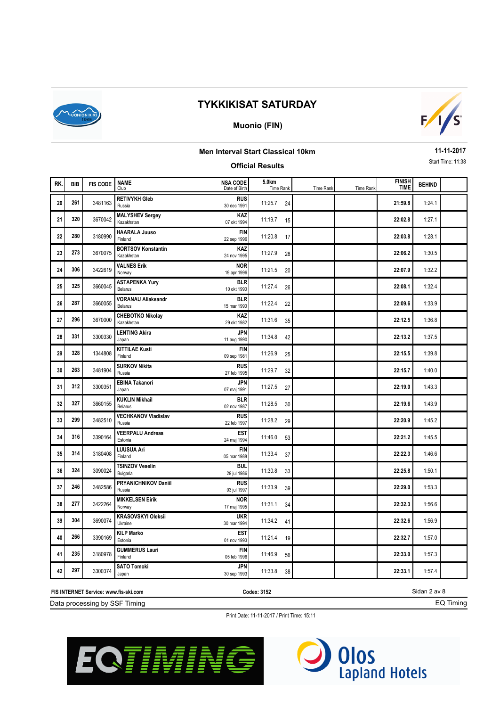

### **Muonio (FIN)**



## **Men Interval Start Classical 10km**

#### **Official Results**

**11-11-2017** Start Time: 11:38

| RK.<br><b>FIS CODE</b><br><b>BIB</b><br><b>TIME</b><br>Club<br>Date of Birth<br>Time Rank<br>Time Rank<br>Time Rank<br><b>RETIVYKH Gleb</b><br><b>RUS</b><br>261<br>3481163<br>20<br>11:25.7<br>21:59.8<br>24<br>Russia<br>30 dec 1991<br><b>MALYSHEV Sergey</b><br>KAZ<br>320<br>3670042<br>11:19.7<br>22:02.8<br>21<br>15<br>Kazakhstan<br>07 okt 1994<br><b>HAARALA Juuso</b><br><b>FIN</b><br>280<br>22<br>3180990<br>11:20.8<br>22:03.8<br>17<br>Finland<br>22 sep 1996<br><b>BORTSOV Konstantin</b><br>KAZ<br>273<br>23<br>3670075<br>11:27.9<br>22:06.2<br>28<br>Kazakhstan<br>24 nov 1995<br><b>VALNES Erik</b><br><b>NOR</b><br>306<br>24<br>3422619<br>11:21.5<br>22:07.9<br>20<br>19 apr 1996<br>Norway<br><b>ASTAPENKA Yury</b><br><b>BLR</b><br>325<br>3660045<br>25<br>11:27.4<br>22:08.1<br>26<br>Belarus<br>10 okt 1990<br><b>VORANAU Aliaksandr</b><br><b>BLR</b><br>287<br>26<br>3660055<br>11:22.4<br>22:09.6<br>22<br>Belarus<br>15 mar 1990<br><b>CHEBOTKO Nikolay</b><br>KAZ<br>296<br>27<br>3670000<br>11:31.6<br>22:12.5<br>35<br>Kazakhstan<br>29 okt 1982<br><b>LENTING Akira</b><br><b>JPN</b><br>331<br>3300330<br>11:34.8<br>28<br>22:13.2<br>42<br>Japan<br>11 aug 1990<br><b>KITTILAE Kusti</b><br><b>FIN</b><br>328<br>29<br>1344808<br>11:26.9<br>22:15.5<br>25<br>Finland<br>09 sep 1981<br><b>SURKOV Nikita</b><br><b>RUS</b><br>263<br>3481904<br>11:29.7<br>30<br>22:15.7<br>32<br>Russia<br>27 feb 1995<br><b>EBINA Takanori</b><br><b>JPN</b><br>312<br>3300351<br>31<br>11:27.5<br>22:19.0<br>27<br>Japan<br>07 maj 1991<br><b>KUKLIN Mikhail</b><br><b>BLR</b><br>327<br>3660155<br>11:28.5<br>32<br>22:19.6<br>30<br>Belarus<br>02 nov 1987<br><b>VECHKANOV Vladislav</b><br><b>RUS</b><br>299<br>33<br>3482510<br>11:28.2<br>22:20.9<br>29<br>Russia<br>22 feb 1997<br><b>VEERPALU Andreas</b><br><b>EST</b><br>316<br>34<br>3390164<br>11:46.0<br>22:21.2<br>53<br>Estonia<br>24 maj 1994<br>LUUSUA Ari<br><b>FIN</b><br>314<br>35<br>3180408<br>11:33.4<br>22:22.3<br>37<br>Finland<br>05 mar 1988<br><b>TSINZOV Veselin</b><br><b>BUL</b><br>324<br>3090024<br>11:30.8<br>22:25.8<br>36<br>33<br>Bulgaria<br>29 jul 1986<br>PRYANICHNIKOV Daniil<br><b>RUS</b><br>246<br>37<br>3482586<br>11:33.9<br>22:29.0<br>39<br>Russia<br>03 jul 1997<br><b>MIKKELSEN Eirik</b><br><b>NOR</b><br>277<br>3422264<br>38<br>11:31.1<br>22:32.3<br>34<br>Norway<br>17 maj 1995<br><b>KRASOVSKYI Oleksii</b><br><b>UKR</b><br>304<br>39<br>3690074<br>11:34.2<br>22:32.6<br>41<br>Ukraine<br>30 mar 1994 |  |                   |                 |       |  |               |               |  |
|-----------------------------------------------------------------------------------------------------------------------------------------------------------------------------------------------------------------------------------------------------------------------------------------------------------------------------------------------------------------------------------------------------------------------------------------------------------------------------------------------------------------------------------------------------------------------------------------------------------------------------------------------------------------------------------------------------------------------------------------------------------------------------------------------------------------------------------------------------------------------------------------------------------------------------------------------------------------------------------------------------------------------------------------------------------------------------------------------------------------------------------------------------------------------------------------------------------------------------------------------------------------------------------------------------------------------------------------------------------------------------------------------------------------------------------------------------------------------------------------------------------------------------------------------------------------------------------------------------------------------------------------------------------------------------------------------------------------------------------------------------------------------------------------------------------------------------------------------------------------------------------------------------------------------------------------------------------------------------------------------------------------------------------------------------------------------------------------------------------------------------------------------------------------------------------------------------------------------------------------------------------------------------------------------------------------------------------------------------------------------------------------------------------------------------------------------------------------------------------------------------------------------------------------|--|-------------------|-----------------|-------|--|---------------|---------------|--|
|                                                                                                                                                                                                                                                                                                                                                                                                                                                                                                                                                                                                                                                                                                                                                                                                                                                                                                                                                                                                                                                                                                                                                                                                                                                                                                                                                                                                                                                                                                                                                                                                                                                                                                                                                                                                                                                                                                                                                                                                                                                                                                                                                                                                                                                                                                                                                                                                                                                                                                                                         |  | <b>NAME</b>       | <b>NSA CODE</b> | 5.0km |  | <b>FINISH</b> | <b>BEHIND</b> |  |
|                                                                                                                                                                                                                                                                                                                                                                                                                                                                                                                                                                                                                                                                                                                                                                                                                                                                                                                                                                                                                                                                                                                                                                                                                                                                                                                                                                                                                                                                                                                                                                                                                                                                                                                                                                                                                                                                                                                                                                                                                                                                                                                                                                                                                                                                                                                                                                                                                                                                                                                                         |  |                   |                 |       |  |               | 1:24.1        |  |
|                                                                                                                                                                                                                                                                                                                                                                                                                                                                                                                                                                                                                                                                                                                                                                                                                                                                                                                                                                                                                                                                                                                                                                                                                                                                                                                                                                                                                                                                                                                                                                                                                                                                                                                                                                                                                                                                                                                                                                                                                                                                                                                                                                                                                                                                                                                                                                                                                                                                                                                                         |  |                   |                 |       |  |               | 1:27.1        |  |
|                                                                                                                                                                                                                                                                                                                                                                                                                                                                                                                                                                                                                                                                                                                                                                                                                                                                                                                                                                                                                                                                                                                                                                                                                                                                                                                                                                                                                                                                                                                                                                                                                                                                                                                                                                                                                                                                                                                                                                                                                                                                                                                                                                                                                                                                                                                                                                                                                                                                                                                                         |  |                   |                 |       |  |               | 1:28.1        |  |
|                                                                                                                                                                                                                                                                                                                                                                                                                                                                                                                                                                                                                                                                                                                                                                                                                                                                                                                                                                                                                                                                                                                                                                                                                                                                                                                                                                                                                                                                                                                                                                                                                                                                                                                                                                                                                                                                                                                                                                                                                                                                                                                                                                                                                                                                                                                                                                                                                                                                                                                                         |  |                   |                 |       |  |               | 1:30.5        |  |
|                                                                                                                                                                                                                                                                                                                                                                                                                                                                                                                                                                                                                                                                                                                                                                                                                                                                                                                                                                                                                                                                                                                                                                                                                                                                                                                                                                                                                                                                                                                                                                                                                                                                                                                                                                                                                                                                                                                                                                                                                                                                                                                                                                                                                                                                                                                                                                                                                                                                                                                                         |  |                   |                 |       |  |               | 1:32.2        |  |
|                                                                                                                                                                                                                                                                                                                                                                                                                                                                                                                                                                                                                                                                                                                                                                                                                                                                                                                                                                                                                                                                                                                                                                                                                                                                                                                                                                                                                                                                                                                                                                                                                                                                                                                                                                                                                                                                                                                                                                                                                                                                                                                                                                                                                                                                                                                                                                                                                                                                                                                                         |  |                   |                 |       |  |               | 1:32.4        |  |
|                                                                                                                                                                                                                                                                                                                                                                                                                                                                                                                                                                                                                                                                                                                                                                                                                                                                                                                                                                                                                                                                                                                                                                                                                                                                                                                                                                                                                                                                                                                                                                                                                                                                                                                                                                                                                                                                                                                                                                                                                                                                                                                                                                                                                                                                                                                                                                                                                                                                                                                                         |  |                   |                 |       |  |               | 1:33.9        |  |
|                                                                                                                                                                                                                                                                                                                                                                                                                                                                                                                                                                                                                                                                                                                                                                                                                                                                                                                                                                                                                                                                                                                                                                                                                                                                                                                                                                                                                                                                                                                                                                                                                                                                                                                                                                                                                                                                                                                                                                                                                                                                                                                                                                                                                                                                                                                                                                                                                                                                                                                                         |  |                   |                 |       |  |               | 1:36.8        |  |
|                                                                                                                                                                                                                                                                                                                                                                                                                                                                                                                                                                                                                                                                                                                                                                                                                                                                                                                                                                                                                                                                                                                                                                                                                                                                                                                                                                                                                                                                                                                                                                                                                                                                                                                                                                                                                                                                                                                                                                                                                                                                                                                                                                                                                                                                                                                                                                                                                                                                                                                                         |  |                   |                 |       |  |               | 1:37.5        |  |
|                                                                                                                                                                                                                                                                                                                                                                                                                                                                                                                                                                                                                                                                                                                                                                                                                                                                                                                                                                                                                                                                                                                                                                                                                                                                                                                                                                                                                                                                                                                                                                                                                                                                                                                                                                                                                                                                                                                                                                                                                                                                                                                                                                                                                                                                                                                                                                                                                                                                                                                                         |  |                   |                 |       |  |               | 1:39.8        |  |
|                                                                                                                                                                                                                                                                                                                                                                                                                                                                                                                                                                                                                                                                                                                                                                                                                                                                                                                                                                                                                                                                                                                                                                                                                                                                                                                                                                                                                                                                                                                                                                                                                                                                                                                                                                                                                                                                                                                                                                                                                                                                                                                                                                                                                                                                                                                                                                                                                                                                                                                                         |  |                   |                 |       |  |               | 1:40.0        |  |
|                                                                                                                                                                                                                                                                                                                                                                                                                                                                                                                                                                                                                                                                                                                                                                                                                                                                                                                                                                                                                                                                                                                                                                                                                                                                                                                                                                                                                                                                                                                                                                                                                                                                                                                                                                                                                                                                                                                                                                                                                                                                                                                                                                                                                                                                                                                                                                                                                                                                                                                                         |  |                   |                 |       |  |               | 1:43.3        |  |
|                                                                                                                                                                                                                                                                                                                                                                                                                                                                                                                                                                                                                                                                                                                                                                                                                                                                                                                                                                                                                                                                                                                                                                                                                                                                                                                                                                                                                                                                                                                                                                                                                                                                                                                                                                                                                                                                                                                                                                                                                                                                                                                                                                                                                                                                                                                                                                                                                                                                                                                                         |  |                   |                 |       |  |               | 1:43.9        |  |
|                                                                                                                                                                                                                                                                                                                                                                                                                                                                                                                                                                                                                                                                                                                                                                                                                                                                                                                                                                                                                                                                                                                                                                                                                                                                                                                                                                                                                                                                                                                                                                                                                                                                                                                                                                                                                                                                                                                                                                                                                                                                                                                                                                                                                                                                                                                                                                                                                                                                                                                                         |  |                   |                 |       |  |               | 1:45.2        |  |
|                                                                                                                                                                                                                                                                                                                                                                                                                                                                                                                                                                                                                                                                                                                                                                                                                                                                                                                                                                                                                                                                                                                                                                                                                                                                                                                                                                                                                                                                                                                                                                                                                                                                                                                                                                                                                                                                                                                                                                                                                                                                                                                                                                                                                                                                                                                                                                                                                                                                                                                                         |  |                   |                 |       |  |               | 1:45.5        |  |
|                                                                                                                                                                                                                                                                                                                                                                                                                                                                                                                                                                                                                                                                                                                                                                                                                                                                                                                                                                                                                                                                                                                                                                                                                                                                                                                                                                                                                                                                                                                                                                                                                                                                                                                                                                                                                                                                                                                                                                                                                                                                                                                                                                                                                                                                                                                                                                                                                                                                                                                                         |  |                   |                 |       |  |               | 1:46.6        |  |
|                                                                                                                                                                                                                                                                                                                                                                                                                                                                                                                                                                                                                                                                                                                                                                                                                                                                                                                                                                                                                                                                                                                                                                                                                                                                                                                                                                                                                                                                                                                                                                                                                                                                                                                                                                                                                                                                                                                                                                                                                                                                                                                                                                                                                                                                                                                                                                                                                                                                                                                                         |  |                   |                 |       |  |               | 1:50.1        |  |
|                                                                                                                                                                                                                                                                                                                                                                                                                                                                                                                                                                                                                                                                                                                                                                                                                                                                                                                                                                                                                                                                                                                                                                                                                                                                                                                                                                                                                                                                                                                                                                                                                                                                                                                                                                                                                                                                                                                                                                                                                                                                                                                                                                                                                                                                                                                                                                                                                                                                                                                                         |  |                   |                 |       |  |               | 1:53.3        |  |
|                                                                                                                                                                                                                                                                                                                                                                                                                                                                                                                                                                                                                                                                                                                                                                                                                                                                                                                                                                                                                                                                                                                                                                                                                                                                                                                                                                                                                                                                                                                                                                                                                                                                                                                                                                                                                                                                                                                                                                                                                                                                                                                                                                                                                                                                                                                                                                                                                                                                                                                                         |  |                   |                 |       |  |               | 1:56.6        |  |
|                                                                                                                                                                                                                                                                                                                                                                                                                                                                                                                                                                                                                                                                                                                                                                                                                                                                                                                                                                                                                                                                                                                                                                                                                                                                                                                                                                                                                                                                                                                                                                                                                                                                                                                                                                                                                                                                                                                                                                                                                                                                                                                                                                                                                                                                                                                                                                                                                                                                                                                                         |  |                   |                 |       |  |               | 1:56.9        |  |
| <b>EST</b><br>266<br>40<br>3390169<br>11:21.4<br>22:32.7<br>19<br>Estonia<br>01 nov 1993                                                                                                                                                                                                                                                                                                                                                                                                                                                                                                                                                                                                                                                                                                                                                                                                                                                                                                                                                                                                                                                                                                                                                                                                                                                                                                                                                                                                                                                                                                                                                                                                                                                                                                                                                                                                                                                                                                                                                                                                                                                                                                                                                                                                                                                                                                                                                                                                                                                |  | <b>KILP Marko</b> |                 |       |  |               | 1:57.0        |  |
| <b>GUMMERUS Lauri</b><br><b>FIN</b><br>235<br>41<br>3180978<br>11:46.9<br>22:33.0<br>56<br>Finland<br>05 feb 1996                                                                                                                                                                                                                                                                                                                                                                                                                                                                                                                                                                                                                                                                                                                                                                                                                                                                                                                                                                                                                                                                                                                                                                                                                                                                                                                                                                                                                                                                                                                                                                                                                                                                                                                                                                                                                                                                                                                                                                                                                                                                                                                                                                                                                                                                                                                                                                                                                       |  |                   |                 |       |  |               | 1:57.3        |  |
| <b>SATO Tomoki</b><br><b>JPN</b><br>297<br>42<br>3300374<br>11:33.8<br>22:33.1<br>38<br>Japan<br>30 sep 1993                                                                                                                                                                                                                                                                                                                                                                                                                                                                                                                                                                                                                                                                                                                                                                                                                                                                                                                                                                                                                                                                                                                                                                                                                                                                                                                                                                                                                                                                                                                                                                                                                                                                                                                                                                                                                                                                                                                                                                                                                                                                                                                                                                                                                                                                                                                                                                                                                            |  |                   |                 |       |  |               | 1:57.4        |  |

Data processing by SSF Timing **FIS INTERNET Service: www.fis-ski.com**

**Codex: 3152**

Sidan 2 av 8 EQ Timing



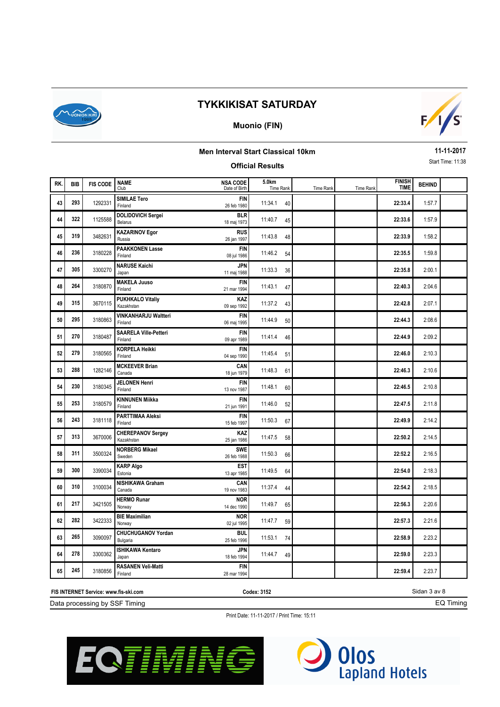

### **Muonio (FIN)**



## **Men Interval Start Classical 10km**

#### **Official Results**

**11-11-2017** Start Time: 11:38

| RK. | <b>BIB</b> | <b>FIS CODE</b> | <b>NAME</b><br>Club                     | <b>NSA CODE</b><br>Date of Birth | 5.0km<br>Time Rank | <b>Time Rank</b> | <b>Time Rank</b> | <b>FINISH</b><br><b>TIME</b> | <b>BEHIND</b> |  |
|-----|------------|-----------------|-----------------------------------------|----------------------------------|--------------------|------------------|------------------|------------------------------|---------------|--|
| 43  | 293        | 1292331         | <b>SIMILAE Tero</b><br>Finland          | <b>FIN</b><br>26 feb 1980        | 11:34.1<br>40      |                  |                  | 22:33.4                      | 1:57.7        |  |
| 44  | 322        | 1125588         | <b>DOLIDOVICH Sergei</b><br>Belarus     | <b>BLR</b><br>18 maj 1973        | 11:40.7<br>45      |                  |                  | 22:33.6                      | 1:57.9        |  |
| 45  | 319        | 3482631         | <b>KAZARINOV Egor</b><br>Russia         | <b>RUS</b><br>26 jan 1997        | 11:43.8<br>48      |                  |                  | 22:33.9                      | 1:58.2        |  |
| 46  | 236        | 3180228         | <b>PAAKKONEN Lasse</b><br>Finland       | <b>FIN</b><br>08 jul 1986        | 11:46.2<br>54      |                  |                  | 22:35.5                      | 1:59.8        |  |
| 47  | 305        | 3300270         | <b>NARUSE Kaichi</b><br>Japan           | <b>JPN</b><br>11 maj 1988        | 11:33.3<br>36      |                  |                  | 22:35.8                      | 2:00.1        |  |
| 48  | 264        | 3180870         | <b>MAKELA Juuso</b><br>Finland          | <b>FIN</b><br>21 mar 1994        | 11:43.1<br>47      |                  |                  | 22:40.3                      | 2:04.6        |  |
| 49  | 315        | 3670115         | <b>PUKHKALO Vitaliy</b><br>Kazakhstan   | KAZ<br>09 sep 1992               | 11:37.2<br>43      |                  |                  | 22:42.8                      | 2:07.1        |  |
| 50  | 295        | 3180863         | <b>VINKANHARJU Waltteri</b><br>Finland  | <b>FIN</b><br>06 maj 1995        | 11:44.9<br>50      |                  |                  | 22:44.3                      | 2:08.6        |  |
| 51  | 270        | 3180487         | <b>SAARELA Ville-Petteri</b><br>Finland | <b>FIN</b><br>09 apr 1989        | 11:41.4<br>46      |                  |                  | 22:44.9                      | 2:09.2        |  |
| 52  | 279        | 3180565         | <b>KORPELA Heikki</b><br>Finland        | <b>FIN</b><br>04 sep 1990        | 11:45.4<br>51      |                  |                  | 22:46.0                      | 2:10.3        |  |
| 53  | 288        | 1282146         | <b>MCKEEVER Brian</b><br>Canada         | CAN<br>18 jun 1979               | 11:48.3<br>61      |                  |                  | 22:46.3                      | 2:10.6        |  |
| 54  | 230        | 3180345         | <b>JELONEN Henri</b><br>Finland         | <b>FIN</b><br>13 nov 1987        | 11:48.1<br>60      |                  |                  | 22:46.5                      | 2:10.8        |  |
| 55  | 253        | 3180579         | <b>KINNUNEN Miikka</b><br>Finland       | <b>FIN</b><br>21 jun 1991        | 11:46.0<br>52      |                  |                  | 22:47.5                      | 2:11.8        |  |
| 56  | 243        | 3181118         | <b>PARTTIMAA Aleksi</b><br>Finland      | <b>FIN</b><br>15 feb 1997        | 11:50.3<br>67      |                  |                  | 22:49.9                      | 2:14.2        |  |
| 57  | 313        | 3670006         | <b>CHEREPANOV Sergey</b><br>Kazakhstan  | KAZ<br>25 jan 1986               | 11:47.5<br>58      |                  |                  | 22:50.2                      | 2:14.5        |  |
| 58  | 311        | 3500324         | <b>NORBERG Mikael</b><br>Sweden         | <b>SWE</b><br>26 feb 1988        | 11:50.3<br>66      |                  |                  | 22:52.2                      | 2:16.5        |  |
| 59  | 300        | 3390034         | <b>KARP Algo</b><br>Estonia             | <b>EST</b><br>13 apr 1985        | 11:49.5<br>64      |                  |                  | 22:54.0                      | 2:18.3        |  |
| 60  | 310        | 3100034         | <b>NISHIKAWA Graham</b><br>Canada       | CAN<br>19 nov 1983               | 11:37.4<br>44      |                  |                  | 22:54.2                      | 2:18.5        |  |
| 61  | 217        | 3421505         | <b>HERMO Runar</b><br>Norway            | <b>NOR</b><br>14 dec 1990        | 11:49.7<br>65      |                  |                  | 22:56.3                      | 2:20.6        |  |
| 62  | 282        | 3422333         | <b>BIE Maximilian</b><br>Norway         | <b>NOR</b><br>02 jul 1995        | 11:47.7<br>59      |                  |                  | 22:57.3                      | 2:21.6        |  |
| 63  | 265        | 3090097         | <b>CHUCHUGANOV Yordan</b><br>Bulgaria   | <b>BUL</b><br>25 feb 1996        | 11:53.1<br>74      |                  |                  | 22:58.9                      | 2:23.2        |  |
| 64  | 278        | 3300362         | <b>ISHIKAWA Kentaro</b><br>Japan        | <b>JPN</b><br>18 feb 1994        | 11:44.7<br>49      |                  |                  | 22:59.0                      | 2:23.3        |  |
| 65  | 245        | 3180856         | <b>RASANEN Veli-Matti</b><br>Finland    | <b>FIN</b><br>28 mar 1994        |                    |                  |                  | 22:59.4                      | 2:23.7        |  |

Data processing by SSF Timing **FIS INTERNET Service: www.fis-ski.com**

**Codex: 3152**

Sidan 3 av 8 EQ Timing



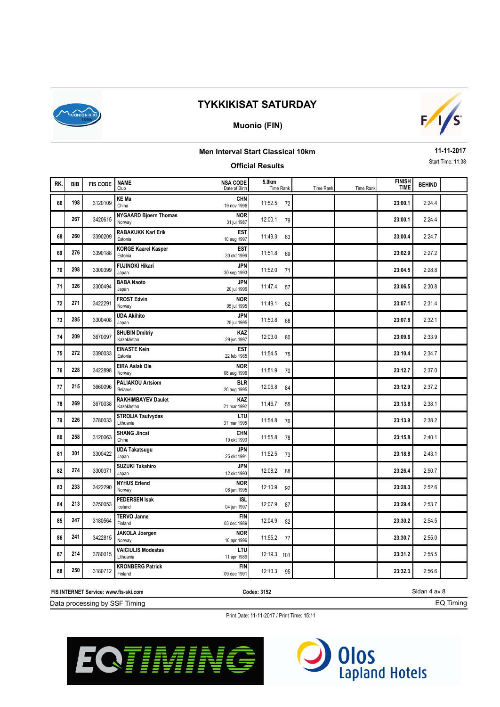

### **Muonio (FIN)**



## **Men Interval Start Classical 10km**

### **Official Results**

**11-11-2017** Start Time: 11:38

| RK. | <b>BIB</b> | <b>FIS CODE</b> | <b>NAME</b><br>Club                     | <b>NSA CODE</b><br>Date of Birth | 5.0km<br>Time Rank | Time Rank | Time Rank | <b>FINISH</b><br><b>TIME</b> | <b>BEHIND</b> |  |
|-----|------------|-----------------|-----------------------------------------|----------------------------------|--------------------|-----------|-----------|------------------------------|---------------|--|
| 66  | 198        | 3120109         | <b>KE Ma</b><br>China                   | <b>CHN</b><br>19 nov 1996        | 11:52.5<br>72      |           |           | 23:00.1                      | 2:24.4        |  |
|     | 267        | 3420615         | <b>NYGAARD Bjoern Thomas</b><br>Norway  | <b>NOR</b><br>31 jul 1987        | 12:00.1<br>79      |           |           | 23:00.1                      | 2:24.4        |  |
| 68  | 260        | 3390209         | <b>RABAKUKK Karl Erik</b><br>Estonia    | <b>EST</b><br>10 aug 1997        | 11:49.3<br>63      |           |           | 23:00.4                      | 2:24.7        |  |
| 69  | 276        | 3390188         | <b>KORGE Kaarel Kasper</b><br>Estonia   | <b>EST</b><br>30 okt 1996        | 11:51.8<br>69      |           |           | 23:02.9                      | 2:27.2        |  |
| 70  | 298        | 3300399         | <b>FUJINOKI Hikari</b><br>Japan         | <b>JPN</b><br>30 sep 1993        | 11:52.0<br>71      |           |           | 23:04.5                      | 2:28.8        |  |
| 71  | 326        | 3300494         | <b>BABA Naoto</b><br>Japan              | <b>JPN</b><br>20 jul 1996        | 11:47.4<br>57      |           |           | 23:06.5                      | 2:30.8        |  |
| 72  | 271        | 3422291         | <b>FROST Edvin</b><br>Norway            | <b>NOR</b><br>05 jul 1995        | 11:49.1<br>62      |           |           | 23:07.1                      | 2:31.4        |  |
| 73  | 285        | 3300408         | <b>UDA Akihito</b><br>Japan             | <b>JPN</b><br>25 jul 1995        | 11:50.8<br>68      |           |           | 23:07.8                      | 2:32.1        |  |
| 74  | 209        | 3670097         | <b>SHUBIN Dmitriy</b><br>Kazakhstan     | KAZ<br>29 jun 1997               | 12:03.0<br>80      |           |           | 23:09.6                      | 2:33.9        |  |
| 75  | 272        | 3390033         | <b>EINASTE Kein</b><br>Estonia          | <b>EST</b><br>22 feb 1985        | 11:54.5<br>75      |           |           | 23:10.4                      | 2:34.7        |  |
| 76  | 228        | 3422898         | <b>EIRA Aslak Ole</b><br>Norway         | <b>NOR</b><br>08 aug 1996        | 11:51.9<br>70      |           |           | 23:12.7                      | 2:37.0        |  |
| 77  | 215        | 3660096         | <b>PALIAKOU Artsiom</b><br>Belarus      | <b>BLR</b><br>20 aug 1995        | 12:06.8<br>84      |           |           | 23:12.9                      | 2:37.2        |  |
| 78  | 269        | 3670038         | <b>RAKHIMBAYEV Daulet</b><br>Kazakhstan | <b>KAZ</b><br>21 mar 1992        | 11:46.7<br>55      |           |           | 23:13.8                      | 2:38.1        |  |
| 79  | 226        | 3780033         | <b>STROLIA Tautvydas</b><br>Lithuania   | LTU<br>31 mar 1995               | 11:54.8<br>76      |           |           | 23:13.9                      | 2:38.2        |  |
| 80  | 258        | 3120063         | <b>SHANG Jincai</b><br>China            | <b>CHN</b><br>10 okt 1993        | 11:55.8<br>78      |           |           | 23:15.8                      | 2:40.1        |  |
| 81  | 301        | 3300422         | <b>UDA Takatsugu</b><br>Japan           | <b>JPN</b><br>25 okt 1991        | 11:52.5<br>73      |           |           | 23:18.8                      | 2:43.1        |  |
| 82  | 274        | 3300371         | <b>SUZUKI Takahiro</b><br>Japan         | <b>JPN</b><br>12 okt 1993        | 12:08.2<br>88      |           |           | 23:26.4                      | 2:50.7        |  |
| 83  | 233        | 3422290         | <b>NYHUS Erlend</b><br>Norway           | <b>NOR</b><br>06 jan 1995        | 12:10.9<br>92      |           |           | 23:28.3                      | 2:52.6        |  |
| 84  | 213        | 3250053         | <b>PEDERSEN Isak</b><br>Iceland         | <b>ISL</b><br>04 jun 1997        | 12:07.9<br>87      |           |           | 23:29.4                      | 2:53.7        |  |
| 85  | 247        | 3180564         | <b>TERVO Janne</b><br>Finland           | <b>FIN</b><br>03 dec 1989        | 12:04.9<br>82      |           |           | 23:30.2                      | 2:54.5        |  |
| 86  | 241        | 3422815         | <b>JAKOLA Joergen</b><br>Norway         | <b>NOR</b><br>10 apr 1996        | 11:55.2<br>77      |           |           | 23:30.7                      | 2:55.0        |  |
| 87  | 214        | 3780015         | <b>VAICIULIS Modestas</b><br>Lithuania  | LTU<br>11 apr 1989               | 12:19.3 101        |           |           | 23:31.2                      | 2:55.5        |  |
| 88  | 250        | 3180712         | <b>KRONBERG Patrick</b><br>Finland      | <b>FIN</b><br>09 dec 1991        | 12:13.3<br>95      |           |           | 23:32.3                      | 2:56.6        |  |

Data processing by SSF Timing **FIS INTERNET Service: www.fis-ski.com**

**Codex: 3152**

Sidan 4 av 8 EQ Timing



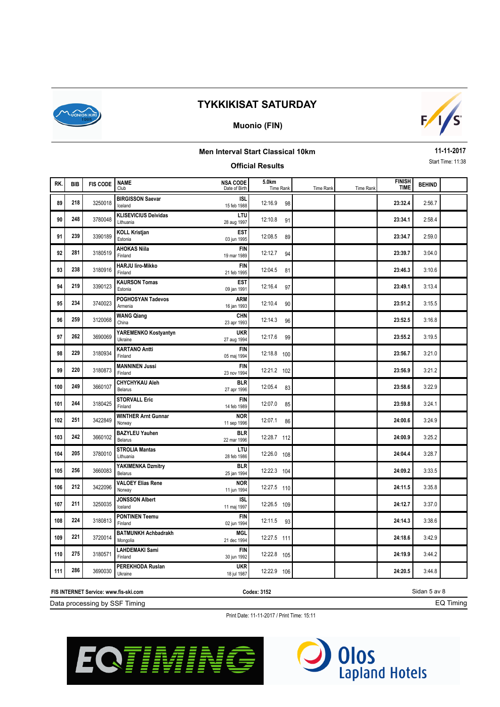

### **Muonio (FIN)**



## **Men Interval Start Classical 10km**

#### **Official Results**

**11-11-2017** Start Time: 11:38

| RK. | <b>BIB</b> | <b>FIS CODE</b> | <b>NAME</b><br>Club                      | <b>NSA CODE</b><br>Date of Birth | 5.0km<br>Time Rank | Time Rank | <b>Time Rank</b> | <b>FINISH</b><br><b>TIME</b> | <b>BEHIND</b> |  |
|-----|------------|-----------------|------------------------------------------|----------------------------------|--------------------|-----------|------------------|------------------------------|---------------|--|
| 89  | 218        | 3250018         | <b>BIRGISSON Saevar</b><br>Iceland       | <b>ISL</b><br>15 feb 1988        | 12:16.9<br>98      |           |                  | 23:32.4                      | 2:56.7        |  |
| 90  | 248        | 3780048         | <b>KLISEVICIUS Deividas</b><br>Lithuania | LTU<br>28 aug 1997               | 12:10.8<br>91      |           |                  | 23:34.1                      | 2:58.4        |  |
| 91  | 239        | 3390189         | <b>KOLL Kristjan</b><br>Estonia          | <b>EST</b><br>03 jun 1995        | 12:08.5<br>89      |           |                  | 23:34.7                      | 2:59.0        |  |
| 92  | 281        | 3180519         | <b>AHOKAS Niila</b><br>Finland           | <b>FIN</b><br>19 mar 1989        | 12:12.7<br>94      |           |                  | 23:39.7                      | 3:04.0        |  |
| 93  | 238        | 3180916         | <b>HARJU liro-Mikko</b><br>Finland       | <b>FIN</b><br>21 feb 1995        | 12:04.5<br>81      |           |                  | 23:46.3                      | 3:10.6        |  |
| 94  | 219        | 3390123         | <b>KAURSON Tomas</b><br>Estonia          | <b>EST</b><br>09 jan 1991        | 12:16.4<br>97      |           |                  | 23:49.1                      | 3:13.4        |  |
| 95  | 234        | 3740023         | POGHOSYAN Tadevos<br>Armenia             | ARM<br>16 jan 1993               | 12:10.4<br>90      |           |                  | 23:51.2                      | 3:15.5        |  |
| 96  | 259        | 3120068         | <b>WANG Qiang</b><br>China               | CHN<br>23 apr 1993               | 12:14.3<br>96      |           |                  | 23:52.5                      | 3:16.8        |  |
| 97  | 262        | 3690069         | YAREMENKO Kostyantyn<br>Ukraine          | <b>UKR</b><br>27 aug 1994        | 12:17.6<br>99      |           |                  | 23:55.2                      | 3:19.5        |  |
| 98  | 229        | 3180934         | <b>KARTANO Antti</b><br>Finland          | <b>FIN</b><br>05 maj 1994        | 12:18.8 100        |           |                  | 23:56.7                      | 3:21.0        |  |
| 99  | 220        | 3180873         | <b>MANNINEN Jussi</b><br>Finland         | <b>FIN</b><br>23 nov 1994        | 12:21.2 102        |           |                  | 23:56.9                      | 3:21.2        |  |
| 100 | 249        | 3660107         | <b>CHYCHYKAU Aleh</b><br>Belarus         | <b>BLR</b><br>27 apr 1996        | 12:05.4<br>83      |           |                  | 23:58.6                      | 3:22.9        |  |
| 101 | 244        | 3180425         | <b>STORVALL Eric</b><br>Finland          | <b>FIN</b><br>14 feb 1989        | 12:07.0<br>85      |           |                  | 23:59.8                      | 3:24.1        |  |
| 102 | 251        | 3422849         | <b>WINTHER Arnt Gunnar</b><br>Norway     | <b>NOR</b><br>11 sep 1996        | 12:07.1<br>86      |           |                  | 24:00.6                      | 3:24.9        |  |
| 103 | 242        | 3660102         | <b>BAZYLEU Yauhen</b><br>Belarus         | <b>BLR</b><br>22 mar 1996        | 12:28.7 112        |           |                  | 24:00.9                      | 3:25.2        |  |
| 104 | 205        | 3780010         | <b>STROLIA Mantas</b><br>Lithuania       | LTU<br>28 feb 1986               | 12:26.0 108        |           |                  | 24:04.4                      | 3:28.7        |  |
| 105 | 256        | 3660083         | YAKIMENKA Dzmitry<br>Belarus             | <b>BLR</b><br>25 jan 1994        | 12:22.3 104        |           |                  | 24:09.2                      | 3:33.5        |  |
| 106 | 212        | 3422096         | <b>VALOEY Elias Rene</b><br>Norway       | <b>NOR</b><br>11 jun 1994        | 12:27.5 110        |           |                  | 24:11.5                      | 3:35.8        |  |
| 107 | 211        | 3250035         | <b>JONSSON Albert</b><br>Iceland         | <b>ISL</b><br>11 maj 1997        | 12:26.5 109        |           |                  | 24:12.7                      | 3:37.0        |  |
| 108 | 224        | 3180813         | <b>PONTINEN Teemu</b><br>Finland         | <b>FIN</b><br>02 jun 1994        | 12:11.5<br>93      |           |                  | 24:14.3                      | 3:38.6        |  |
| 109 | 221        | 3720014         | <b>BATMUNKH Achbadrakh</b><br>Mongolia   | MGL<br>21 dec 1994               | 12:27.5 111        |           |                  | 24:18.6                      | 3:42.9        |  |
| 110 | 275        | 3180571         | <b>LAHDEMAKI Sami</b><br>Finland         | <b>FIN</b><br>30 jun 1992        | 12:22.8 105        |           |                  | 24:19.9                      | 3:44.2        |  |
| 111 | 286        | 3690030         | PEREKHODA Ruslan<br>Ukraine              | <b>UKR</b><br>18 jul 1987        | 12:22.9 106        |           |                  | 24:20.5                      | 3:44.8        |  |

Data processing by SSF Timing **FIS INTERNET Service: www.fis-ski.com**

**Codex: 3152**

Sidan 5 av 8 EQ Timing



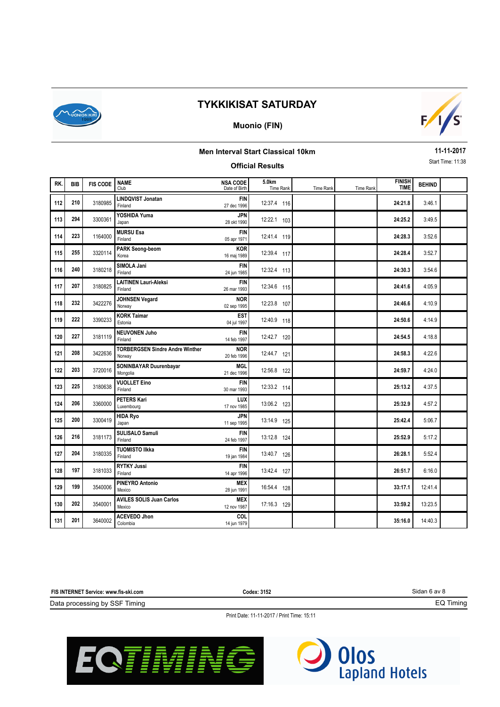

### **Muonio (FIN)**



### **Men Interval Start Classical 10km**

### **Official Results**

**11-11-2017** Start Time: 11:38

| RK. | <b>BIB</b> | <b>FIS CODE</b> | <b>NAME</b><br>Club                              | <b>NSA CODE</b><br>Date of Birth | 5.0km<br>Time Rank | Time Rank | Time Rank | <b>FINISH</b><br><b>TIME</b> | <b>BEHIND</b> |  |
|-----|------------|-----------------|--------------------------------------------------|----------------------------------|--------------------|-----------|-----------|------------------------------|---------------|--|
| 112 | 210        | 3180985         | <b>LINDQVIST Jonatan</b><br>Finland              | <b>FIN</b><br>27 dec 1996        | 12:37.4 116        |           |           | 24:21.8                      | 3:46.1        |  |
| 113 | 294        | 3300361         | YOSHIDA Yuma<br>Japan                            | JPN<br>28 okt 1990               | 12:22.1 103        |           |           | 24:25.2                      | 3:49.5        |  |
| 114 | 223        | 1164000         | <b>MURSU Esa</b><br>Finland                      | <b>FIN</b><br>05 apr 1971        | 12:41.4 119        |           |           | 24:28.3                      | 3:52.6        |  |
| 115 | 255        | 3320114         | <b>PARK Seong-beom</b><br>Korea                  | KOR<br>16 maj 1989               | 12:39.4 117        |           |           | 24:28.4                      | 3:52.7        |  |
| 116 | 240        | 3180218         | SIMOLA Jani<br>Finland                           | <b>FIN</b><br>24 jun 1985        | 12:32.4 113        |           |           | 24:30.3                      | 3:54.6        |  |
| 117 | 207        | 3180825         | <b>LAITINEN Lauri-Aleksi</b><br>Finland          | <b>FIN</b><br>26 mar 1993        | 12:34.6 115        |           |           | 24:41.6                      | 4:05.9        |  |
| 118 | 232        | 3422276         | <b>JOHNSEN Vegard</b><br>Norway                  | <b>NOR</b><br>02 sep 1995        | 12:23.8 107        |           |           | 24:46.6                      | 4:10.9        |  |
| 119 | 222        | 3390233         | <b>KORK Taimar</b><br>Estonia                    | <b>EST</b><br>04 jul 1997        | 12:40.9 118        |           |           | 24:50.6                      | 4:14.9        |  |
| 120 | 227        | 3181119         | <b>NEUVONEN Juho</b><br>Finland                  | <b>FIN</b><br>14 feb 1997        | 12:42.7 120        |           |           | 24:54.5                      | 4:18.8        |  |
| 121 | 208        | 3422636         | <b>TORBERGSEN Sindre Andre Winther</b><br>Norway | <b>NOR</b><br>20 feb 1996        | 12:44.7 121        |           |           | 24:58.3                      | 4:22.6        |  |
| 122 | 203        | 3720016         | SONINBAYAR Duurenbayar<br>Mongolia               | <b>MGL</b><br>21 dec 1996        | 12:56.8 122        |           |           | 24:59.7                      | 4:24.0        |  |
| 123 | 225        | 3180638         | <b>VUOLLET Eino</b><br>Finland                   | <b>FIN</b><br>30 mar 1993        | 12:33.2 114        |           |           | 25:13.2                      | 4:37.5        |  |
| 124 | 206        | 3360000         | <b>PETERS Kari</b><br>Luxembourg                 | LUX<br>17 nov 1985               | 13:06.2 123        |           |           | 25:32.9                      | 4:57.2        |  |
| 125 | 200        | 3300419         | <b>HIDA Ryo</b><br>Japan                         | <b>JPN</b><br>11 sep 1995        | 13:14.9 125        |           |           | 25:42.4                      | 5:06.7        |  |
| 126 | 216        | 3181173         | <b>SULISALO Samuli</b><br>Finland                | <b>FIN</b><br>24 feb 1997        | 13:12.8 124        |           |           | 25:52.9                      | 5:17.2        |  |
| 127 | 204        | 3180335         | <b>TUOMISTO IIkka</b><br>Finland                 | <b>FIN</b><br>19 jan 1984        | 13:40.7 126        |           |           | 26:28.1                      | 5:52.4        |  |
| 128 | 197        | 3181033         | <b>RYTKY Jussi</b><br>Finland                    | <b>FIN</b><br>14 apr 1996        | 13:42.4 127        |           |           | 26:51.7                      | 6:16.0        |  |
| 129 | 199        | 3540006         | <b>PINEYRO Antonio</b><br>Mexico                 | <b>MEX</b><br>28 jun 1991        | 16:54.4 128        |           |           | 33:17.1                      | 12:41.4       |  |
| 130 | 202        | 3540001         | <b>AVILES SOLIS Juan Carlos</b><br>Mexico        | <b>MEX</b><br>12 nov 1987        | 17:16.3 129        |           |           | 33:59.2                      | 13:23.5       |  |
| 131 | 201        | 3640002         | <b>ACEVEDO Jhon</b><br>Colombia                  | COL<br>14 jun 1979               |                    |           |           | 35:16.0                      | 14:40.3       |  |

**FIS INTERNET Service: www.fis-ski.com**

**Codex: 3152**

Sidan 6 av 8

EQ Timing

Data processing by SSF Timing



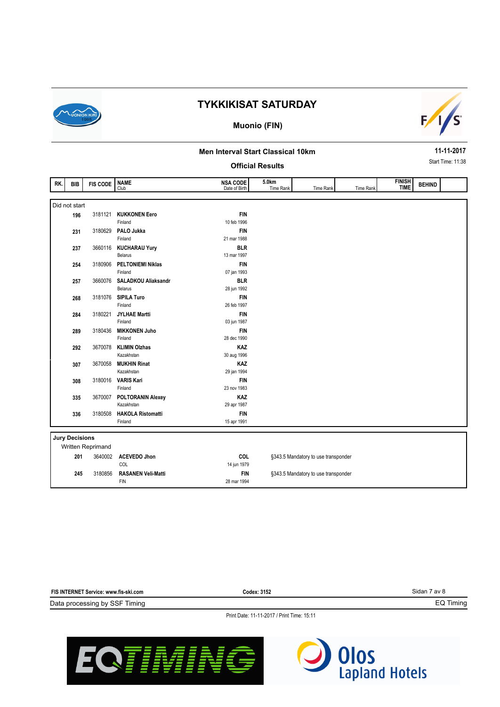

#### **Muonio (FIN)**



#### **Men Interval Start Classical 10km**

#### **Official Results**

**11-11-2017** Start Time: 11:38

| RK. | <b>BIB</b>            | <b>FIS CODE</b>   | <b>NAME</b>                | <b>NSA CODE</b> | 5.0km     |                                     |           | <b>FINISH</b><br><b>TIME</b> | <b>BEHIND</b> |  |
|-----|-----------------------|-------------------|----------------------------|-----------------|-----------|-------------------------------------|-----------|------------------------------|---------------|--|
|     |                       |                   | Club                       | Date of Birth   | Time Rank | Time Rank                           | Time Rank |                              |               |  |
|     |                       |                   |                            |                 |           |                                     |           |                              |               |  |
|     | Did not start         |                   |                            |                 |           |                                     |           |                              |               |  |
|     | 196                   | 3181121           | <b>KUKKONEN Eero</b>       | <b>FIN</b>      |           |                                     |           |                              |               |  |
|     |                       |                   | Finland                    | 10 feb 1996     |           |                                     |           |                              |               |  |
|     | 231                   | 3180629           | PALO Jukka                 | <b>FIN</b>      |           |                                     |           |                              |               |  |
|     |                       |                   | Finland                    | 21 mar 1988     |           |                                     |           |                              |               |  |
|     | 237                   | 3660116           | <b>KUCHARAU Yury</b>       | <b>BLR</b>      |           |                                     |           |                              |               |  |
|     |                       |                   | <b>Belarus</b>             | 13 mar 1997     |           |                                     |           |                              |               |  |
|     | 254                   | 3180906           | <b>PELTONIEMI Niklas</b>   | <b>FIN</b>      |           |                                     |           |                              |               |  |
|     |                       |                   | Finland                    | 07 jan 1993     |           |                                     |           |                              |               |  |
|     | 257                   | 3660076           | <b>SALADKOU Aliaksandr</b> | <b>BLR</b>      |           |                                     |           |                              |               |  |
|     |                       |                   | <b>Belarus</b>             | 28 jun 1992     |           |                                     |           |                              |               |  |
|     | 268                   | 3181076           | <b>SIPILA Turo</b>         | <b>FIN</b>      |           |                                     |           |                              |               |  |
|     |                       |                   | Finland                    | 26 feb 1997     |           |                                     |           |                              |               |  |
|     | 284                   | 3180221           | <b>JYLHAE Martti</b>       | <b>FIN</b>      |           |                                     |           |                              |               |  |
|     |                       |                   | Finland                    | 03 jun 1987     |           |                                     |           |                              |               |  |
|     | 289                   | 3180436           | <b>MIKKONEN Juho</b>       | <b>FIN</b>      |           |                                     |           |                              |               |  |
|     |                       |                   | Finland                    | 28 dec 1990     |           |                                     |           |                              |               |  |
|     | 292                   | 3670078           | <b>KLIMIN Olzhas</b>       | KAZ             |           |                                     |           |                              |               |  |
|     |                       |                   | Kazakhstan                 | 30 aug 1996     |           |                                     |           |                              |               |  |
|     | 307                   | 3670058           | <b>MUKHIN Rinat</b>        | <b>KAZ</b>      |           |                                     |           |                              |               |  |
|     |                       |                   | Kazakhstan                 | 29 jan 1994     |           |                                     |           |                              |               |  |
|     | 308                   | 3180016           | <b>VARIS Kari</b>          | <b>FIN</b>      |           |                                     |           |                              |               |  |
|     |                       |                   | Finland                    | 23 nov 1983     |           |                                     |           |                              |               |  |
|     | 335                   | 3670007           | <b>POLTORANIN Alexey</b>   | KAZ             |           |                                     |           |                              |               |  |
|     |                       |                   | Kazakhstan                 | 29 apr 1987     |           |                                     |           |                              |               |  |
|     | 336                   | 3180508           | <b>HAKOLA Ristomatti</b>   | <b>FIN</b>      |           |                                     |           |                              |               |  |
|     |                       |                   | Finland                    | 15 apr 1991     |           |                                     |           |                              |               |  |
|     |                       |                   |                            |                 |           |                                     |           |                              |               |  |
|     | <b>Jury Decisions</b> |                   |                            |                 |           |                                     |           |                              |               |  |
|     |                       | Written Reprimand |                            |                 |           |                                     |           |                              |               |  |
|     | 201                   | 3640002           | <b>ACEVEDO Jhon</b>        | <b>COL</b>      |           | §343.5 Mandatory to use transponder |           |                              |               |  |
|     |                       |                   | COL                        | 14 jun 1979     |           |                                     |           |                              |               |  |
|     | 245                   | 3180856           | <b>RASANEN Veli-Matti</b>  | <b>FIN</b>      |           | §343.5 Mandatory to use transponder |           |                              |               |  |
|     |                       |                   | <b>FIN</b>                 | 28 mar 1994     |           |                                     |           |                              |               |  |
|     |                       |                   |                            |                 |           |                                     |           |                              |               |  |